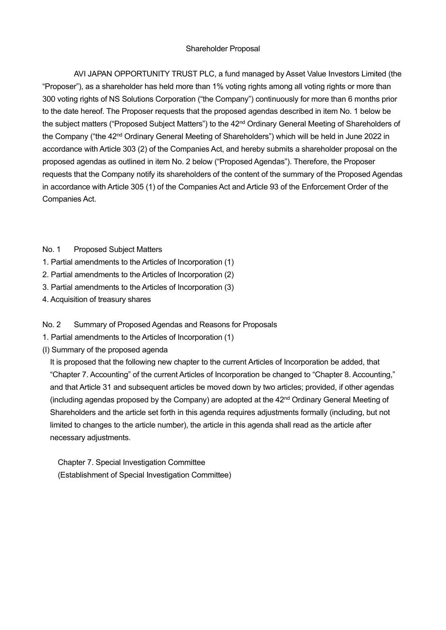AVI JAPAN OPPORTUNITY TRUST PLC, a fund managed by Asset Value Investors Limited (the "Proposer"), as a shareholder has held more than 1% voting rights among all voting rights or more than 300 voting rights of NS Solutions Corporation ("the Company") continuously for more than 6 months prior to the date hereof. The Proposer requests that the proposed agendas described in item No. 1 below be the subject matters ("Proposed Subject Matters") to the 42<sup>nd</sup> Ordinary General Meeting of Shareholders of the Company ("the 42<sup>nd</sup> Ordinary General Meeting of Shareholders") which will be held in June 2022 in accordance with Article 303 (2) of the Companies Act, and hereby submits a shareholder proposal on the proposed agendas as outlined in item No. 2 below ("Proposed Agendas"). Therefore, the Proposer requests that the Company notify its shareholders of the content of the summary of the Proposed Agendas in accordance with Article 305 (1) of the Companies Act and Article 93 of the Enforcement Order of the Companies Act.

#### No. 1 Proposed Subject Matters

- 1. Partial amendments to the Articles of Incorporation (1)
- 2. Partial amendments to the Articles of Incorporation (2)
- 3. Partial amendments to the Articles of Incorporation (3)
- 4. Acquisition of treasury shares

No. 2 Summary of Proposed Agendas and Reasons for Proposals

- 1. Partial amendments to the Articles of Incorporation (1)
- (I) Summary of the proposed agenda

It is proposed that the following new chapter to the current Articles of Incorporation be added, that "Chapter 7. Accounting" of the current Articles of Incorporation be changed to "Chapter 8. Accounting," and that Article 31 and subsequent articles be moved down by two articles; provided, if other agendas (including agendas proposed by the Company) are adopted at the  $42<sup>nd</sup>$  Ordinary General Meeting of Shareholders and the article set forth in this agenda requires adjustments formally (including, but not limited to changes to the article number), the article in this agenda shall read as the article after necessary adjustments.

Chapter 7. Special Investigation Committee (Establishment of Special Investigation Committee)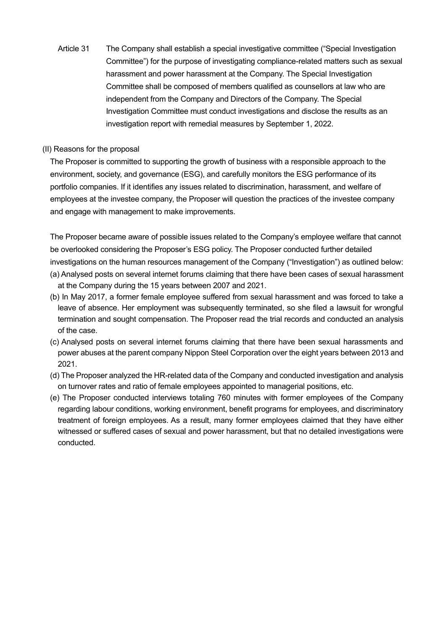Article 31 The Company shall establish a special investigative committee ("Special Investigation Committee") for the purpose of investigating compliance-related matters such as sexual harassment and power harassment at the Company. The Special Investigation Committee shall be composed of members qualified as counsellors at law who are independent from the Company and Directors of the Company. The Special Investigation Committee must conduct investigations and disclose the results as an investigation report with remedial measures by September 1, 2022.

## (II) Reasons for the proposal

The Proposer is committed to supporting the growth of business with a responsible approach to the environment, society, and governance (ESG), and carefully monitors the ESG performance of its portfolio companies. If it identifies any issues related to discrimination, harassment, and welfare of employees at the investee company, the Proposer will question the practices of the investee company and engage with management to make improvements.

The Proposer became aware of possible issues related to the Company's employee welfare that cannot be overlooked considering the Proposer's ESG policy. The Proposer conducted further detailed investigations on the human resources management of the Company ("Investigation") as outlined below: (a) Analysed posts on several internet forums claiming that there have been cases of sexual harassment at the Company during the 15 years between 2007 and 2021.

- (b) In May 2017, a former female employee suffered from sexual harassment and was forced to take a leave of absence. Her employment was subsequently terminated, so she filed a lawsuit for wrongful termination and sought compensation. The Proposer read the trial records and conducted an analysis of the case.
- (c) Analysed posts on several internet forums claiming that there have been sexual harassments and power abuses at the parent company Nippon Steel Corporation over the eight years between 2013 and 2021.
- (d) The Proposer analyzed the HR-related data of the Company and conducted investigation and analysis on turnover rates and ratio of female employees appointed to managerial positions, etc.
- (e) The Proposer conducted interviews totaling 760 minutes with former employees of the Company regarding labour conditions, working environment, benefit programs for employees, and discriminatory treatment of foreign employees. As a result, many former employees claimed that they have either witnessed or suffered cases of sexual and power harassment, but that no detailed investigations were conducted.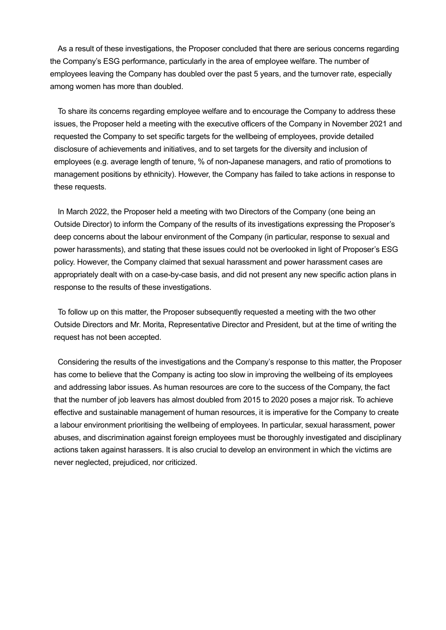As a result of these investigations, the Proposer concluded that there are serious concerns regarding the Company's ESG performance, particularly in the area of employee welfare. The number of employees leaving the Company has doubled over the past 5 years, and the turnover rate, especially among women has more than doubled.

To share its concerns regarding employee welfare and to encourage the Company to address these issues, the Proposer held a meeting with the executive officers of the Company in November 2021 and requested the Company to set specific targets for the wellbeing of employees, provide detailed disclosure of achievements and initiatives, and to set targets for the diversity and inclusion of employees (e.g. average length of tenure, % of non-Japanese managers, and ratio of promotions to management positions by ethnicity). However, the Company has failed to take actions in response to these requests.

In March 2022, the Proposer held a meeting with two Directors of the Company (one being an Outside Director) to inform the Company of the results of its investigations expressing the Proposer's deep concerns about the labour environment of the Company (in particular, response to sexual and power harassments), and stating that these issues could not be overlooked in light of Proposer's ESG policy. However, the Company claimed that sexual harassment and power harassment cases are appropriately dealt with on a case-by-case basis, and did not present any new specific action plans in response to the results of these investigations.

To follow up on this matter, the Proposer subsequently requested a meeting with the two other Outside Directors and Mr. Morita, Representative Director and President, but at the time of writing the request has not been accepted.

Considering the results of the investigations and the Company's response to this matter, the Proposer has come to believe that the Company is acting too slow in improving the wellbeing of its employees and addressing labor issues. As human resources are core to the success of the Company, the fact that the number of job leavers has almost doubled from 2015 to 2020 poses a major risk. To achieve effective and sustainable management of human resources, it is imperative for the Company to create a labour environment prioritising the wellbeing of employees. In particular, sexual harassment, power abuses, and discrimination against foreign employees must be thoroughly investigated and disciplinary actions taken against harassers. It is also crucial to develop an environment in which the victims are never neglected, prejudiced, nor criticized.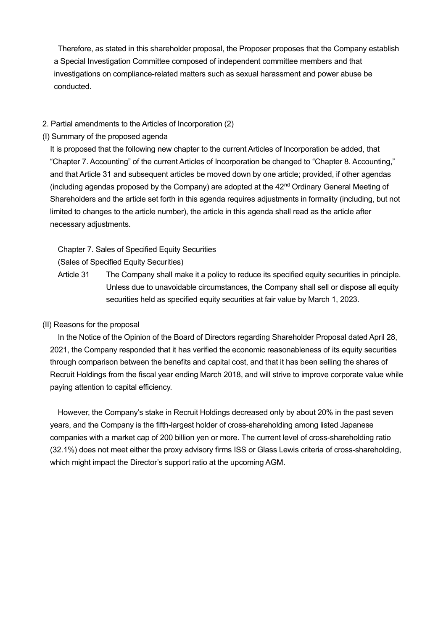Therefore, as stated in this shareholder proposal, the Proposer proposes that the Company establish a Special Investigation Committee composed of independent committee members and that investigations on compliance-related matters such as sexual harassment and power abuse be conducted.

## 2. Partial amendments to the Articles of Incorporation (2)

(I) Summary of the proposed agenda

It is proposed that the following new chapter to the current Articles of Incorporation be added, that "Chapter 7. Accounting" of the current Articles of Incorporation be changed to "Chapter 8. Accounting," and that Article 31 and subsequent articles be moved down by one article; provided, if other agendas (including agendas proposed by the Company) are adopted at the  $42<sup>nd</sup>$  Ordinary General Meeting of Shareholders and the article set forth in this agenda requires adjustments in formality (including, but not limited to changes to the article number), the article in this agenda shall read as the article after necessary adjustments.

Chapter 7. Sales of Specified Equity Securities

(Sales of Specified Equity Securities)

Article 31 The Company shall make it a policy to reduce its specified equity securities in principle. Unless due to unavoidable circumstances, the Company shall sell or dispose all equity securities held as specified equity securities at fair value by March 1, 2023.

## (II) Reasons for the proposal

In the Notice of the Opinion of the Board of Directors regarding Shareholder Proposal dated April 28, 2021, the Company responded that it has verified the economic reasonableness of its equity securities through comparison between the benefits and capital cost, and that it has been selling the shares of Recruit Holdings from the fiscal year ending March 2018, and will strive to improve corporate value while paying attention to capital efficiency.

However, the Company's stake in Recruit Holdings decreased only by about 20% in the past seven years, and the Company is the fifth-largest holder of cross-shareholding among listed Japanese companies with a market cap of 200 billion yen or more. The current level of cross-shareholding ratio (32.1%) does not meet either the proxy advisory firms ISS or Glass Lewis criteria of cross-shareholding, which might impact the Director's support ratio at the upcoming AGM.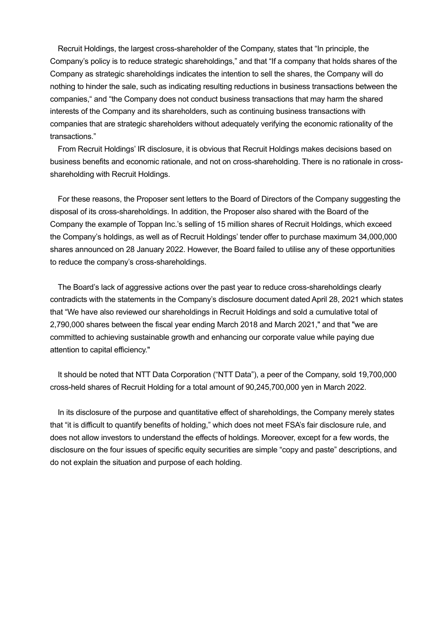Recruit Holdings, the largest cross-shareholder of the Company, states that "In principle, the Company's policy is to reduce strategic shareholdings," and that "If a company that holds shares of the Company as strategic shareholdings indicates the intention to sell the shares, the Company will do nothing to hinder the sale, such as indicating resulting reductions in business transactions between the companies," and "the Company does not conduct business transactions that may harm the shared interests of the Company and its shareholders, such as continuing business transactions with companies that are strategic shareholders without adequately verifying the economic rationality of the transactions."

From Recruit Holdings' IR disclosure, it is obvious that Recruit Holdings makes decisions based on business benefits and economic rationale, and not on cross-shareholding. There is no rationale in crossshareholding with Recruit Holdings.

For these reasons, the Proposer sent letters to the Board of Directors of the Company suggesting the disposal of its cross-shareholdings. In addition, the Proposer also shared with the Board of the Company the example of Toppan Inc.'s selling of 15 million shares of Recruit Holdings, which exceed the Company's holdings, as well as of Recruit Holdings' tender offer to purchase maximum 34,000,000 shares announced on 28 January 2022. However, the Board failed to utilise any of these opportunities to reduce the company's cross-shareholdings.

The Board's lack of aggressive actions over the past year to reduce cross-shareholdings clearly contradicts with the statements in the Company's disclosure document dated April 28, 2021 which states that "We have also reviewed our shareholdings in Recruit Holdings and sold a cumulative total of 2,790,000 shares between the fiscal year ending March 2018 and March 2021," and that "we are committed to achieving sustainable growth and enhancing our corporate value while paying due attention to capital efficiency."

It should be noted that NTT Data Corporation ("NTT Data"), a peer of the Company, sold 19,700,000 cross-held shares of Recruit Holding for a total amount of 90,245,700,000 yen in March 2022.

In its disclosure of the purpose and quantitative effect of shareholdings, the Company merely states that "it is difficult to quantify benefits of holding," which does not meet FSA's fair disclosure rule, and does not allow investors to understand the effects of holdings. Moreover, except for a few words, the disclosure on the four issues of specific equity securities are simple "copy and paste" descriptions, and do not explain the situation and purpose of each holding.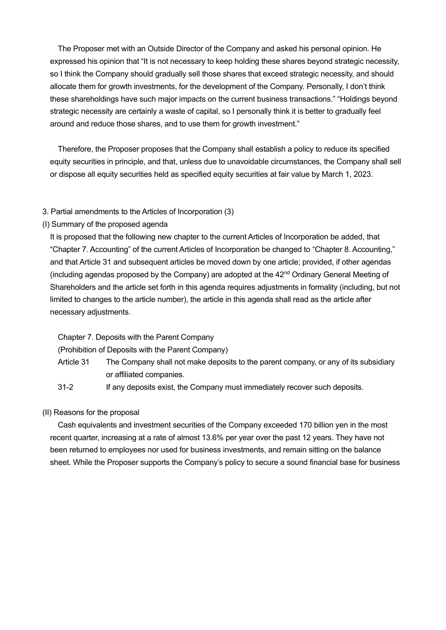The Proposer met with an Outside Director of the Company and asked his personal opinion. He expressed his opinion that "It is not necessary to keep holding these shares beyond strategic necessity, so I think the Company should gradually sell those shares that exceed strategic necessity, and should allocate them for growth investments, for the development of the Company. Personally, I don't think these shareholdings have such major impacts on the current business transactions." "Holdings beyond strategic necessity are certainly a waste of capital, so I personally think it is better to gradually feel around and reduce those shares, and to use them for growth investment."

Therefore, the Proposer proposes that the Company shall establish a policy to reduce its specified equity securities in principle, and that, unless due to unavoidable circumstances, the Company shall sell or dispose all equity securities held as specified equity securities at fair value by March 1, 2023.

#### 3. Partial amendments to the Articles of Incorporation (3)

(I) Summary of the proposed agenda

It is proposed that the following new chapter to the current Articles of Incorporation be added, that "Chapter 7. Accounting" of the current Articles of Incorporation be changed to "Chapter 8. Accounting," and that Article 31 and subsequent articles be moved down by one article; provided, if other agendas (including agendas proposed by the Company) are adopted at the  $42<sup>nd</sup>$  Ordinary General Meeting of Shareholders and the article set forth in this agenda requires adjustments in formality (including, but not limited to changes to the article number), the article in this agenda shall read as the article after necessary adjustments.

Chapter 7. Deposits with the Parent Company

(Prohibition of Deposits with the Parent Company)

- Article 31 The Company shall not make deposits to the parent company, or any of its subsidiary or affiliated companies.
- 31-2 If any deposits exist, the Company must immediately recover such deposits.

(II) Reasons for the proposal

Cash equivalents and investment securities of the Company exceeded 170 billion yen in the most recent quarter, increasing at a rate of almost 13.6% per year over the past 12 years. They have not been returned to employees nor used for business investments, and remain sitting on the balance sheet. While the Proposer supports the Company's policy to secure a sound financial base for business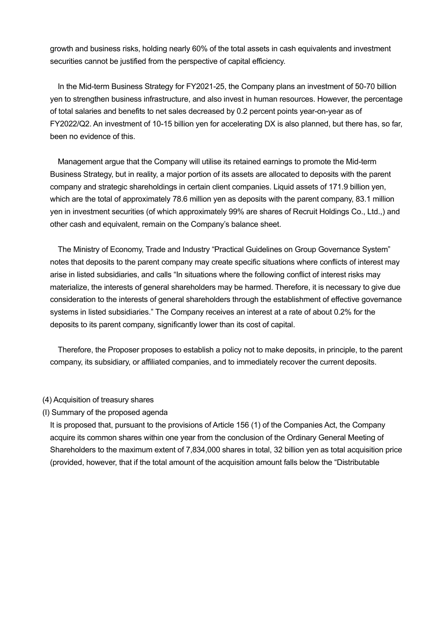growth and business risks, holding nearly 60% of the total assets in cash equivalents and investment securities cannot be justified from the perspective of capital efficiency.

In the Mid-term Business Strategy for FY2021-25, the Company plans an investment of 50-70 billion yen to strengthen business infrastructure, and also invest in human resources. However, the percentage of total salaries and benefits to net sales decreased by 0.2 percent points year-on-year as of FY2022/Q2. An investment of 10-15 billion yen for accelerating DX is also planned, but there has, so far, been no evidence of this.

Management argue that the Company will utilise its retained earnings to promote the Mid-term Business Strategy, but in reality, a major portion of its assets are allocated to deposits with the parent company and strategic shareholdings in certain client companies. Liquid assets of 171.9 billion yen, which are the total of approximately 78.6 million yen as deposits with the parent company, 83.1 million yen in investment securities (of which approximately 99% are shares of Recruit Holdings Co., Ltd.,) and other cash and equivalent, remain on the Company's balance sheet.

The Ministry of Economy, Trade and Industry "Practical Guidelines on Group Governance System" notes that deposits to the parent company may create specific situations where conflicts of interest may arise in listed subsidiaries, and calls "In situations where the following conflict of interest risks may materialize, the interests of general shareholders may be harmed. Therefore, it is necessary to give due consideration to the interests of general shareholders through the establishment of effective governance systems in listed subsidiaries." The Company receives an interest at a rate of about 0.2% for the deposits to its parent company, significantly lower than its cost of capital.

Therefore, the Proposer proposes to establish a policy not to make deposits, in principle, to the parent company, its subsidiary, or affiliated companies, and to immediately recover the current deposits.

#### (4) Acquisition of treasury shares

(I) Summary of the proposed agenda

It is proposed that, pursuant to the provisions of Article 156 (1) of the Companies Act, the Company acquire its common shares within one year from the conclusion of the Ordinary General Meeting of Shareholders to the maximum extent of 7,834,000 shares in total, 32 billion yen as total acquisition price (provided, however, that if the total amount of the acquisition amount falls below the "Distributable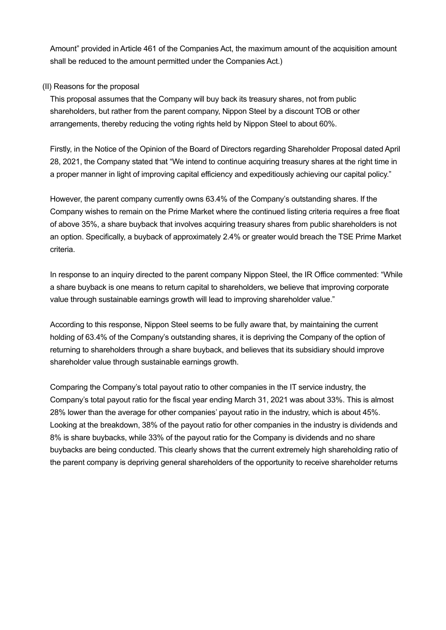Amount" provided in Article 461 of the Companies Act, the maximum amount of the acquisition amount shall be reduced to the amount permitted under the Companies Act.)

# (II) Reasons for the proposal

This proposal assumes that the Company will buy back its treasury shares, not from public shareholders, but rather from the parent company, Nippon Steel by a discount TOB or other arrangements, thereby reducing the voting rights held by Nippon Steel to about 60%.

Firstly, in the Notice of the Opinion of the Board of Directors regarding Shareholder Proposal dated April 28, 2021, the Company stated that "We intend to continue acquiring treasury shares at the right time in a proper manner in light of improving capital efficiency and expeditiously achieving our capital policy."

However, the parent company currently owns 63.4% of the Company's outstanding shares. If the Company wishes to remain on the Prime Market where the continued listing criteria requires a free float of above 35%, a share buyback that involves acquiring treasury shares from public shareholders is not an option. Specifically, a buyback of approximately 2.4% or greater would breach the TSE Prime Market criteria.

In response to an inquiry directed to the parent company Nippon Steel, the IR Office commented: "While a share buyback is one means to return capital to shareholders, we believe that improving corporate value through sustainable earnings growth will lead to improving shareholder value."

According to this response, Nippon Steel seems to be fully aware that, by maintaining the current holding of 63.4% of the Company's outstanding shares, it is depriving the Company of the option of returning to shareholders through a share buyback, and believes that its subsidiary should improve shareholder value through sustainable earnings growth.

Comparing the Company's total payout ratio to other companies in the IT service industry, the Company's total payout ratio for the fiscal year ending March 31, 2021 was about 33%. This is almost 28% lower than the average for other companies' payout ratio in the industry, which is about 45%. Looking at the breakdown, 38% of the payout ratio for other companies in the industry is dividends and 8% is share buybacks, while 33% of the payout ratio for the Company is dividends and no share buybacks are being conducted. This clearly shows that the current extremely high shareholding ratio of the parent company is depriving general shareholders of the opportunity to receive shareholder returns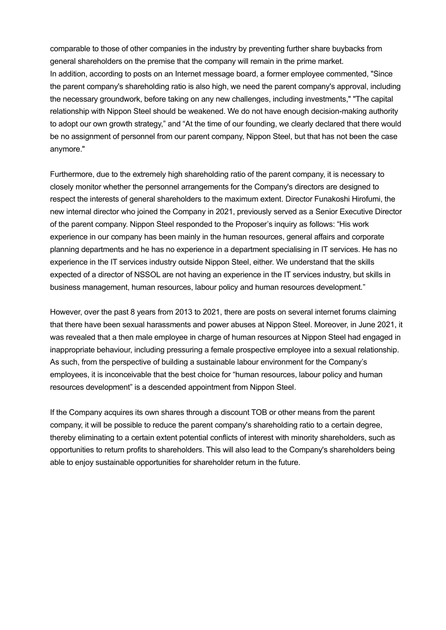comparable to those of other companies in the industry by preventing further share buybacks from general shareholders on the premise that the company will remain in the prime market. In addition, according to posts on an Internet message board, a former employee commented, "Since the parent company's shareholding ratio is also high, we need the parent company's approval, including the necessary groundwork, before taking on any new challenges, including investments," "The capital relationship with Nippon Steel should be weakened. We do not have enough decision-making authority to adopt our own growth strategy," and "At the time of our founding, we clearly declared that there would be no assignment of personnel from our parent company, Nippon Steel, but that has not been the case anymore."

Furthermore, due to the extremely high shareholding ratio of the parent company, it is necessary to closely monitor whether the personnel arrangements for the Company's directors are designed to respect the interests of general shareholders to the maximum extent. Director Funakoshi Hirofumi, the new internal director who joined the Company in 2021, previously served as a Senior Executive Director of the parent company. Nippon Steel responded to the Proposer's inquiry as follows: "His work experience in our company has been mainly in the human resources, general affairs and corporate planning departments and he has no experience in a department specialising in IT services. He has no experience in the IT services industry outside Nippon Steel, either. We understand that the skills expected of a director of NSSOL are not having an experience in the IT services industry, but skills in business management, human resources, labour policy and human resources development."

However, over the past 8 years from 2013 to 2021, there are posts on several internet forums claiming that there have been sexual harassments and power abuses at Nippon Steel. Moreover, in June 2021, it was revealed that a then male employee in charge of human resources at Nippon Steel had engaged in inappropriate behaviour, including pressuring a female prospective employee into a sexual relationship. As such, from the perspective of building a sustainable labour environment for the Company's employees, it is inconceivable that the best choice for "human resources, labour policy and human resources development" is a descended appointment from Nippon Steel.

If the Company acquires its own shares through a discount TOB or other means from the parent company, it will be possible to reduce the parent company's shareholding ratio to a certain degree, thereby eliminating to a certain extent potential conflicts of interest with minority shareholders, such as opportunities to return profits to shareholders. This will also lead to the Company's shareholders being able to enjoy sustainable opportunities for shareholder return in the future.